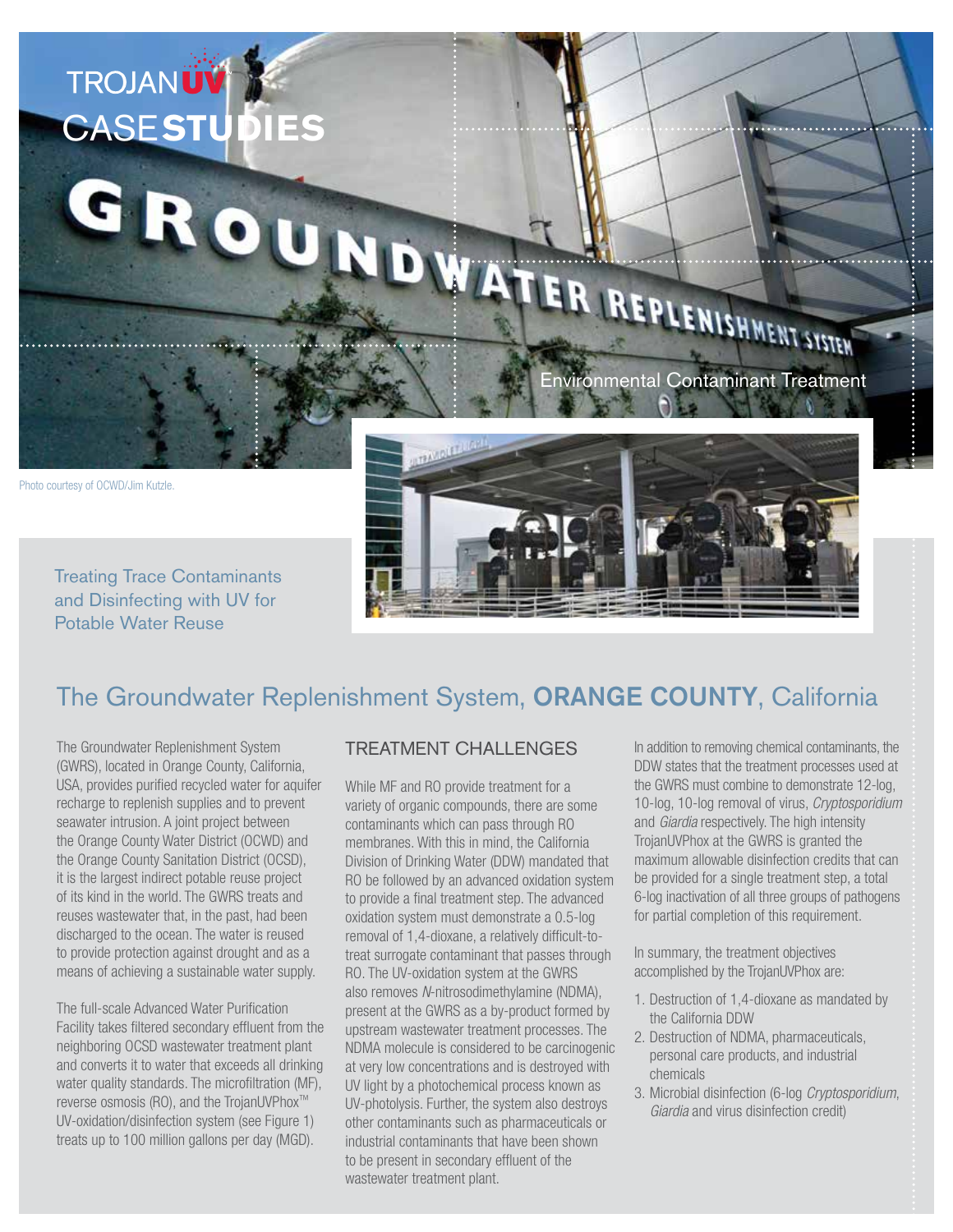

Treating Trace Contaminants and Disinfecting with UV for Potable Water Reuse

# The Groundwater Replenishment System, ORANGE COUNTY, California

The Groundwater Replenishment System (GWRS), located in Orange County, California, USA, provides purified recycled water for aquifer recharge to replenish supplies and to prevent seawater intrusion. A joint project between the Orange County Water District (OCWD) and the Orange County Sanitation District (OCSD), it is the largest indirect potable reuse project of its kind in the world. The GWRS treats and reuses wastewater that, in the past, had been discharged to the ocean. The water is reused to provide protection against drought and as a means of achieving a sustainable water supply.

The full-scale Advanced Water Purification Facility takes filtered secondary effluent from the neighboring OCSD wastewater treatment plant and converts it to water that exceeds all drinking water quality standards. The microfiltration (MF), reverse osmosis (RO), and the TrojanUVPhox™ UV-oxidation/disinfection system (see Figure 1) treats up to 100 million gallons per day (MGD).

#### TREATMENT CHALLENGES

While MF and RO provide treatment for a variety of organic compounds, there are some contaminants which can pass through RO membranes. With this in mind, the California Division of Drinking Water (DDW) mandated that RO be followed by an advanced oxidation system to provide a final treatment step. The advanced oxidation system must demonstrate a 0.5-log removal of 1,4-dioxane, a relatively difficult-totreat surrogate contaminant that passes through RO. The UV-oxidation system at the GWRS also removes *N*-nitrosodimethylamine (NDMA), present at the GWRS as a by-product formed by upstream wastewater treatment processes. The NDMA molecule is considered to be carcinogenic at very low concentrations and is destroyed with UV light by a photochemical process known as UV-photolysis. Further, the system also destroys other contaminants such as pharmaceuticals or industrial contaminants that have been shown to be present in secondary effluent of the wastewater treatment plant.

In addition to removing chemical contaminants, the DDW states that the treatment processes used at the GWRS must combine to demonstrate 12-log, 10-log, 10-log removal of virus, *Cryptosporidium* and *Giardia* respectively. The high intensity TrojanUVPhox at the GWRS is granted the maximum allowable disinfection credits that can be provided for a single treatment step, a total 6-log inactivation of all three groups of pathogens for partial completion of this requirement.

In summary, the treatment objectives accomplished by the TrojanUVPhox are:

- 1. Destruction of 1,4-dioxane as mandated by the California DDW
- 2. Destruction of NDMA, pharmaceuticals, personal care products, and industrial chemicals
- 3. Microbial disinfection (6-log *Cryptosporidium*, *Giardia* and virus disinfection credit)